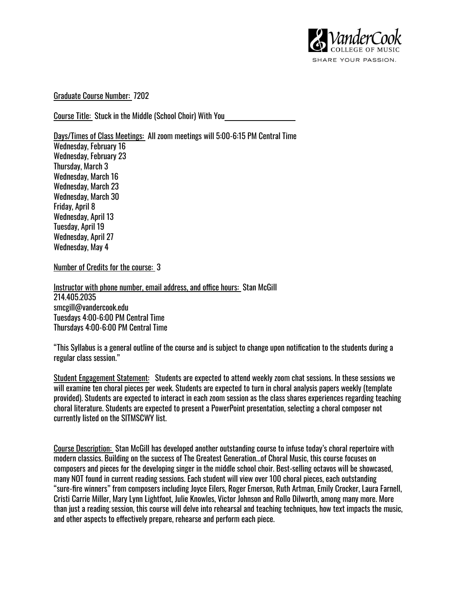

Graduate Course Number: 7202

Course Title: Stuck in the Middle (School Choir) With You

Days/Times of Class Meetings: All zoom meetings will 5:00-6:15 PM Central Time Wednesday, February 16 Wednesday, February 23 Thursday, March 3 Wednesday, March 16 Wednesday, March 23 Wednesday, March 30 Friday, April 8 Wednesday, April 13 Tuesday, April 19 Wednesday, April 27 Wednesday, May 4

Number of Credits for the course: 3

Instructor with phone number, email address, and office hours: Stan McGill 214.405.2035 smcgill@vandercook.edu Tuesdays 4:00-6:00 PM Central Time Thursdays 4:00-6:00 PM Central Time

"This Syllabus is a general outline of the course and is subject to change upon notification to the students during a regular class session."

Student Engagement Statement: Students are expected to attend weekly zoom chat sessions. In these sessions we will examine ten choral pieces per week. Students are expected to turn in choral analysis papers weekly (template provided). Students are expected to interact in each zoom session as the class shares experiences regarding teaching choral literature. Students are expected to present a PowerPoint presentation, selecting a choral composer not currently listed on the SITMSCWY list.

Course Description: Stan McGill has developed another outstanding course to infuse today's choral repertoire with modern classics. Building on the success of The Greatest Generation…of Choral Music, this course focuses on composers and pieces for the developing singer in the middle school choir. Best-selling octavos will be showcased, many NOT found in current reading sessions. Each student will view over 100 choral pieces, each outstanding "sure-fire winners" from composers including Joyce Eilers, Roger Emerson, Ruth Artman, Emily Crocker, Laura Farnell, Cristi Carrie Miller, Mary Lynn Lightfoot, Julie Knowles, Victor Johnson and Rollo Dilworth, among many more. More than just a reading session, this course will delve into rehearsal and teaching techniques, how text impacts the music, and other aspects to effectively prepare, rehearse and perform each piece.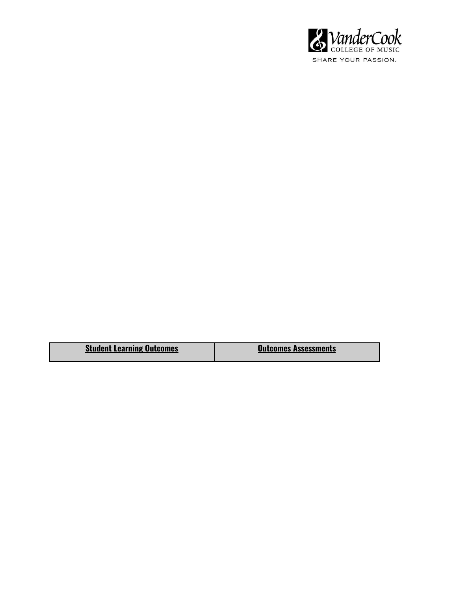

| <b>Student Learning Outcomes</b> | <b>Outcomes Assessments</b> |
|----------------------------------|-----------------------------|
|                                  |                             |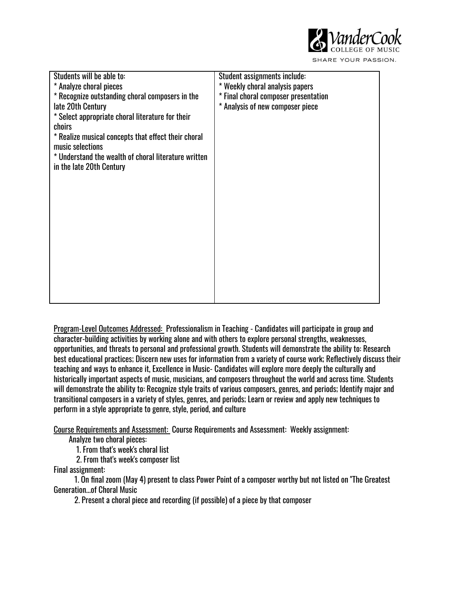

Students will be able to: \* Analyze choral pieces \* Recognize outstanding choral composers in the late 20th Century \* Select appropriate choral literature for their choirs \* Realize musical concepts that effect their choral music selections \* Understand the wealth of choral literature written in the late 20th Century Student assignments include: \* Weekly choral analysis papers \* Final choral composer presentation \* Analysis of new composer piece

Program-Level Outcomes Addressed: Professionalism in Teaching - Candidates will participate in group and character-building activities by working alone and with others to explore personal strengths, weaknesses, opportunities, and threats to personal and professional growth. Students will demonstrate the ability to: Research best educational practices; Discern new uses for information from a variety of course work; Reflectively discuss their teaching and ways to enhance it, Excellence in Music- Candidates will explore more deeply the culturally and historically important aspects of music, musicians, and composers throughout the world and across time. Students will demonstrate the ability to: Recognize style traits of various composers, genres, and periods; Identify major and transitional composers in a variety of styles, genres, and periods; Learn or review and apply new techniques to perform in a style appropriate to genre, style, period, and culture

Course Requirements and Assessment: Course Requirements and Assessment: Weekly assignment:

Analyze two choral pieces:

1. From that's week's choral list

2. From that's week's composer list

Final assignment:

1. On final zoom (May 4) present to class Power Point of a composer worthy but not listed on "The Greatest Generation...of Choral Music

2. Present a choral piece and recording (if possible) of a piece by that composer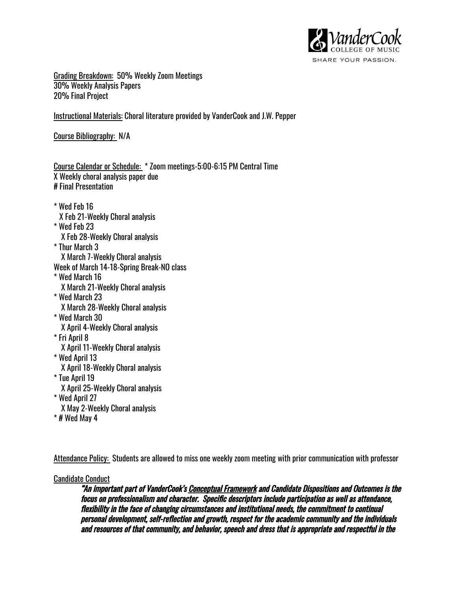

Grading Breakdown: 50% Weekly Zoom Meetings 30% Weekly Analysis Papers 20% Final Project

Instructional Materials: Choral literature provided by VanderCook and J.W. Pepper

Course Bibliography: N/A

Course Calendar or Schedule: \* Zoom meetings-5:00-6:15 PM Central Time X Weekly choral analysis paper due # Final Presentation

\* Wed Feb 16 X Feb 21-Weekly Choral analysis \* Wed Feb 23 X Feb 28-Weekly Choral analysis \* Thur March 3 X March 7-Weekly Choral analysis Week of March 14-18-Spring Break-NO class \* Wed March 16 X March 21-Weekly Choral analysis \* Wed March 23 X March 28-Weekly Choral analysis \* Wed March 30 X April 4-Weekly Choral analysis \* Fri April 8 X April 11-Weekly Choral analysis \* Wed April 13 X April 18-Weekly Choral analysis \* Tue April 19 X April 25-Weekly Choral analysis \* Wed April 27 X May 2-Weekly Choral analysis

\* # Wed May 4

Attendance Policy: Students are allowed to miss one weekly zoom meeting with prior communication with professor

### Candidate Conduct

"An important part of VanderCook's Conceptual Framework and Candidate Dispositions and Outcomes is the focus on professionalism and character. Specific descriptors include participation as well as attendance, flexibility in the face of changing circumstances and institutional needs, the commitment to continual personal development, self-reflection and growth, respect for the academic community and the individuals and resources of that community, and behavior, speech and dress that is appropriate and respectful in the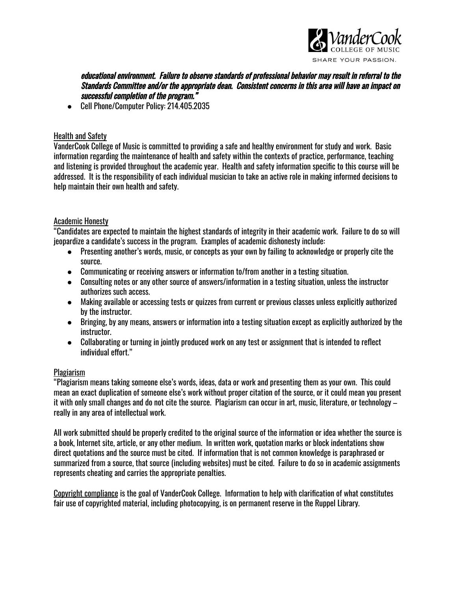

educational environment. Failure to observe standards of professional behavior may result in referral to the Standards Committee and/or the appropriate dean. Consistent concerns in this area will have an impact on successful completion of the program."

● Cell Phone/Computer Policy: 214.405.2035

# Health and Safety

VanderCook College of Music is committed to providing a safe and healthy environment for study and work. Basic information regarding the maintenance of health and safety within the contexts of practice, performance, teaching and listening is provided throughout the academic year. Health and safety information specific to this course will be addressed. It is the responsibility of each individual musician to take an active role in making informed decisions to help maintain their own health and safety.

## Academic Honesty

"Candidates are expected to maintain the highest standards of integrity in their academic work. Failure to do so will jeopardize a candidate's success in the program. Examples of academic dishonesty include:

- Presenting another's words, music, or concepts as your own by failing to acknowledge or properly cite the source.
- Communicating or receiving answers or information to/from another in a testing situation.
- Consulting notes or any other source of answers/information in a testing situation, unless the instructor authorizes such access.
- Making available or accessing tests or quizzes from current or previous classes unless explicitly authorized by the instructor.
- Bringing, by any means, answers or information into a testing situation except as explicitly authorized by the instructor.
- Collaborating or turning in jointly produced work on any test or assignment that is intended to reflect individual effort."

### Plagiarism

"Plagiarism means taking someone else's words, ideas, data or work and presenting them as your own. This could mean an exact duplication of someone else's work without proper citation of the source, or it could mean you present it with only small changes and do not cite the source. Plagiarism can occur in art, music, literature, or technology – really in any area of intellectual work.

All work submitted should be properly credited to the original source of the information or idea whether the source is a book, Internet site, article, or any other medium. In written work, quotation marks or block indentations show direct quotations and the source must be cited. If information that is not common knowledge is paraphrased or summarized from a source, that source (including websites) must be cited. Failure to do so in academic assignments represents cheating and carries the appropriate penalties.

Copyright compliance is the goal of VanderCook College. Information to help with clarification of what constitutes fair use of copyrighted material, including photocopying, is on permanent reserve in the Ruppel Library.